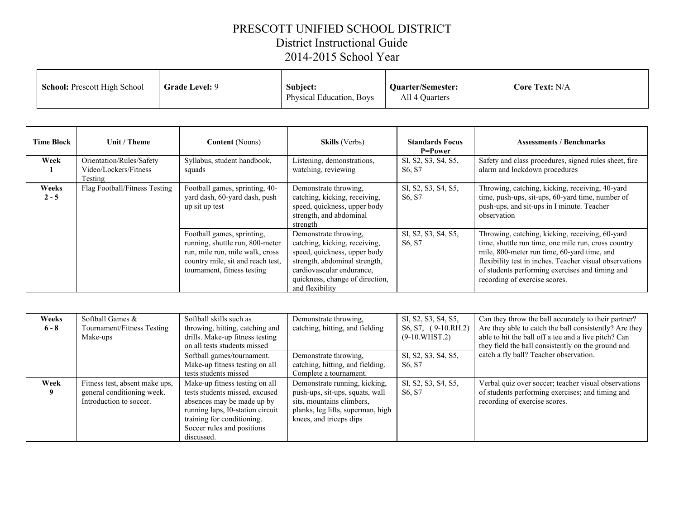## PRESCOTT UNIFIED SCHOOL DISTRICT District Instructional Guide 2014-2015 School Year

| <b>School:</b> Prescott High School | <b>Grade Level: 9</b><br>Subject:<br><b>Physical Education, Boys</b> | <b>Quarter/Semester:</b><br>All 4 Quarters | <b>Core Text: N/A</b> |
|-------------------------------------|----------------------------------------------------------------------|--------------------------------------------|-----------------------|
|-------------------------------------|----------------------------------------------------------------------|--------------------------------------------|-----------------------|

| <b>Time Block</b> | Unit / Theme                                                 | <b>Content</b> (Nouns)                                                                                                                                               | <b>Skills</b> (Verbs)                                                                                                                                                                                      | <b>Standards Focus</b><br><b>P=Power</b>               | <b>Assessments / Benchmarks</b>                                                                                                                                                                                                                                                                      |
|-------------------|--------------------------------------------------------------|----------------------------------------------------------------------------------------------------------------------------------------------------------------------|------------------------------------------------------------------------------------------------------------------------------------------------------------------------------------------------------------|--------------------------------------------------------|------------------------------------------------------------------------------------------------------------------------------------------------------------------------------------------------------------------------------------------------------------------------------------------------------|
| Week              | Orientation/Rules/Safety<br>Video/Lockers/Fitness<br>Testing | Syllabus, student handbook,<br>squads                                                                                                                                | Listening, demonstrations,<br>watching, reviewing                                                                                                                                                          | SI, S2, S3, S4, S5,<br>S <sub>6</sub> , S <sub>7</sub> | Safety and class procedures, signed rules sheet, fire<br>alarm and lockdown procedures                                                                                                                                                                                                               |
| Weeks<br>$2 - 5$  | Flag Football/Fitness Testing                                | Football games, sprinting, 40-<br>yard dash, 60-yard dash, push<br>up sit up test                                                                                    | Demonstrate throwing,<br>catching, kicking, receiving,<br>speed, quickness, upper body<br>strength, and abdominal<br>strength                                                                              | SI, S2, S3, S4, S5,<br>S6, S7                          | Throwing, catching, kicking, receiving, 40-yard<br>time, push-ups, sit-ups, 60-yard time, number of<br>push-ups, and sit-ups in I minute. Teacher<br>observation                                                                                                                                     |
|                   |                                                              | Football games, sprinting,<br>running, shuttle run, 800-meter<br>run, mile run, mile walk, cross<br>country mile, sit and reach test,<br>tournament, fitness testing | Demonstrate throwing,<br>catching, kicking, receiving,<br>speed, quickness, upper body<br>strength, abdominal strength,<br>cardiovascular endurance,<br>quickness, change of direction,<br>and flexibility | SI, S2, S3, S4, S5,<br>S6, S7                          | Throwing, catching, kicking, receiving, 60-yard<br>time, shuttle run time, one mile run, cross country<br>mile, 800-meter run time, 60-yard time, and<br>flexibility test in inches. Teacher visual observations<br>of students performing exercises and timing and<br>recording of exercise scores. |

| Weeks<br>$6 - 8$ | Softball Games &<br>Tournament/Fitness Testing<br>Make-ups                              | Softball skills such as<br>throwing, hitting, catching and<br>drills. Make-up fitness testing<br>on all tests students missed                                                                                | Demonstrate throwing,<br>catching, hitting, and fielding                                                                                                      | SI, S2, S3, S4, S5,<br>$S6, S7, (9-10.RH.2)$<br>$(9-10.WHST.2)$ | Can they throw the ball accurately to their partner?<br>Are they able to catch the ball consistently? Are they<br>able to hit the ball off a tee and a live pitch? Can<br>they field the ball consistently on the ground and |
|------------------|-----------------------------------------------------------------------------------------|--------------------------------------------------------------------------------------------------------------------------------------------------------------------------------------------------------------|---------------------------------------------------------------------------------------------------------------------------------------------------------------|-----------------------------------------------------------------|------------------------------------------------------------------------------------------------------------------------------------------------------------------------------------------------------------------------------|
|                  |                                                                                         | Softball games/tournament.<br>Make-up fitness testing on all                                                                                                                                                 | Demonstrate throwing,<br>catching, hitting, and fielding.                                                                                                     | SI, S2, S3, S4, S5,<br>S <sub>6</sub> , S <sub>7</sub>          | catch a fly ball? Teacher observation.                                                                                                                                                                                       |
|                  |                                                                                         | tests students missed                                                                                                                                                                                        | Complete a tournament.                                                                                                                                        |                                                                 |                                                                                                                                                                                                                              |
| Week             | Fitness test, absent make ups,<br>general conditioning week.<br>Introduction to soccer. | Make-up fitness testing on all<br>tests students missed, excused<br>absences may be made up by<br>running laps, I0-station circuit<br>training for conditioning.<br>Soccer rules and positions<br>discussed. | Demonstrate running, kicking,<br>push-ups, sit-ups, squats, wall<br>sits, mountains climbers,<br>planks, leg lifts, superman, high<br>knees, and triceps dips | SI, S2, S3, S4, S5,<br>S <sub>6</sub> , S <sub>7</sub>          | Verbal quiz over soccer; teacher visual observations<br>of students performing exercises; and timing and<br>recording of exercise scores.                                                                                    |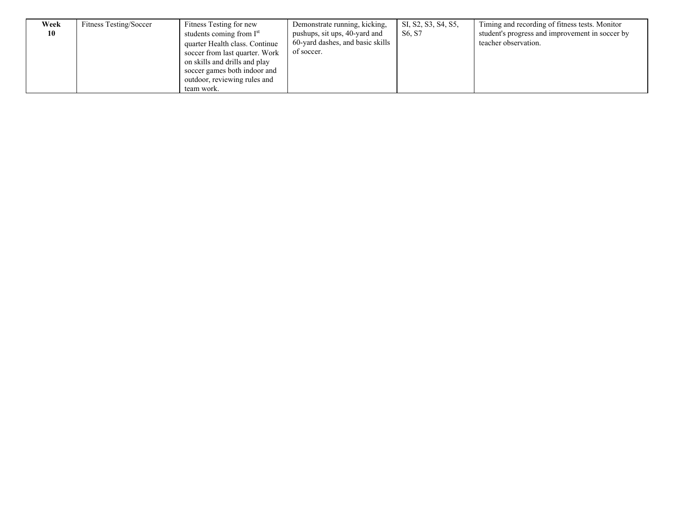| Week | Fitness Testing/Soccer | Fitness Testing for new              | Demonstrate running, kicking,    | SI, S2, S3, S4, S5,             | Timing and recording of fitness tests. Monitor  |
|------|------------------------|--------------------------------------|----------------------------------|---------------------------------|-------------------------------------------------|
| 10   |                        | students coming from I <sup>st</sup> | pushups, sit ups, 40-yard and    | S <sub>6</sub> , S <sub>7</sub> | student's progress and improvement in soccer by |
|      |                        | quarter Health class. Continue       | 60-yard dashes, and basic skills |                                 | teacher observation.                            |
|      |                        | soccer from last quarter. Work       | of soccer.                       |                                 |                                                 |
|      |                        | on skills and drills and play        |                                  |                                 |                                                 |
|      |                        | soccer games both indoor and         |                                  |                                 |                                                 |
|      |                        | outdoor, reviewing rules and         |                                  |                                 |                                                 |
|      |                        | team work.                           |                                  |                                 |                                                 |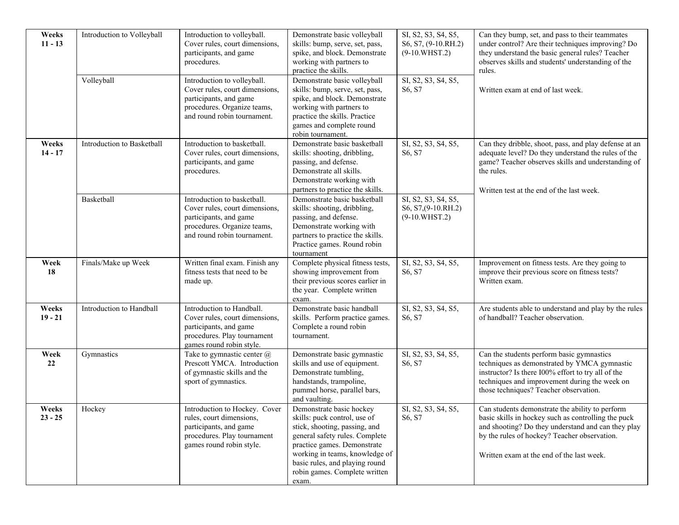| Weeks<br>$11 - 13$ | Introduction to Volleyball<br>Volleyball | Introduction to volleyball.<br>Cover rules, court dimensions,<br>participants, and game<br>procedures.<br>Introduction to volleyball.                 | Demonstrate basic volleyball<br>skills: bump, serve, set, pass,<br>spike, and block. Demonstrate<br>working with partners to<br>practice the skills.<br>Demonstrate basic volleyball                                                                                     | SI, S2, S3, S4, S5,<br>S6, S7, (9-10.RH.2)<br>$(9-10.WHST.2)$<br>SI, S2, S3, S4, S5, | Can they bump, set, and pass to their teammates<br>under control? Are their techniques improving? Do<br>they understand the basic general rules? Teacher<br>observes skills and students' understanding of the<br>rules.                                  |
|--------------------|------------------------------------------|-------------------------------------------------------------------------------------------------------------------------------------------------------|--------------------------------------------------------------------------------------------------------------------------------------------------------------------------------------------------------------------------------------------------------------------------|--------------------------------------------------------------------------------------|-----------------------------------------------------------------------------------------------------------------------------------------------------------------------------------------------------------------------------------------------------------|
|                    |                                          | Cover rules, court dimensions,<br>participants, and game<br>procedures. Organize teams,<br>and round robin tournament.                                | skills: bump, serve, set, pass,<br>spike, and block. Demonstrate<br>working with partners to<br>practice the skills. Practice<br>games and complete round<br>robin tournament.                                                                                           | S6, S7                                                                               | Written exam at end of last week.                                                                                                                                                                                                                         |
| Weeks<br>$14 - 17$ | Introduction to Basketball               | Introduction to basketball.<br>Cover rules, court dimensions,<br>participants, and game<br>procedures.                                                | Demonstrate basic basketball<br>skills: shooting, dribbling,<br>passing, and defense.<br>Demonstrate all skills.<br>Demonstrate working with<br>partners to practice the skills.                                                                                         | SI, S2, S3, S4, S5,<br>S6, S7                                                        | Can they dribble, shoot, pass, and play defense at an<br>adequate level? Do they understand the rules of the<br>game? Teacher observes skills and understanding of<br>the rules.<br>Written test at the end of the last week.                             |
|                    | Basketball                               | Introduction to basketball.<br>Cover rules, court dimensions,<br>participants, and game<br>procedures. Organize teams,<br>and round robin tournament. | Demonstrate basic basketball<br>skills: shooting, dribbling,<br>passing, and defense.<br>Demonstrate working with<br>partners to practice the skills.<br>Practice games. Round robin<br>tournament                                                                       | SI, S2, S3, S4, S5,<br>S6, S7, (9-10.RH.2)<br>$(9-10.WHST.2)$                        |                                                                                                                                                                                                                                                           |
| Week<br>18         | Finals/Make up Week                      | Written final exam. Finish any<br>fitness tests that need to be<br>made up.                                                                           | Complete physical fitness tests,<br>showing improvement from<br>their previous scores earlier in<br>the year. Complete written<br>exam.                                                                                                                                  | SI, S2, S3, S4, S5,<br>S6, S7                                                        | Improvement on fitness tests. Are they going to<br>improve their previous score on fitness tests?<br>Written exam.                                                                                                                                        |
| Weeks<br>$19 - 21$ | Introduction to Handball                 | Introduction to Handball.<br>Cover rules, court dimensions,<br>participants, and game<br>procedures. Play tournament<br>games round robin style.      | Demonstrate basic handball<br>skills. Perform practice games.<br>Complete a round robin<br>tournament.                                                                                                                                                                   | SI, S2, S3, S4, S5,<br>S6, S7                                                        | Are students able to understand and play by the rules<br>of handball? Teacher observation.                                                                                                                                                                |
| Week<br>22         | Gymnastics                               | Take to gymnastic center $\omega$<br>Prescott YMCA. Introduction<br>of gymnastic skills and the<br>sport of gymnastics.                               | Demonstrate basic gymnastic<br>skills and use of equipment.<br>Demonstrate tumbling,<br>handstands, trampoline,<br>pummel horse, parallel bars,<br>and vaulting.                                                                                                         | SI, S2, S3, S4, S5,<br>S6, S7                                                        | Can the students perform basic gymnastics<br>techniques as demonstrated by YMCA gymnastic<br>instructor? Is there I00% effort to try all of the<br>techniques and improvement during the week on<br>those techniques? Teacher observation.                |
| Weeks<br>$23 - 25$ | Hockey                                   | Introduction to Hockey. Cover<br>rules, court dimensions,<br>participants, and game<br>procedures. Play tournament<br>games round robin style.        | Demonstrate basic hockey<br>skills: puck control, use of<br>stick, shooting, passing, and<br>general safety rules. Complete<br>practice games. Demonstrate<br>working in teams, knowledge of<br>basic rules, and playing round<br>robin games. Complete written<br>exam. | SI, S2, S3, S4, S5,<br>S6, S7                                                        | Can students demonstrate the ability to perform<br>basic skills in hockey such as controlling the puck<br>and shooting? Do they understand and can they play<br>by the rules of hockey? Teacher observation.<br>Written exam at the end of the last week. |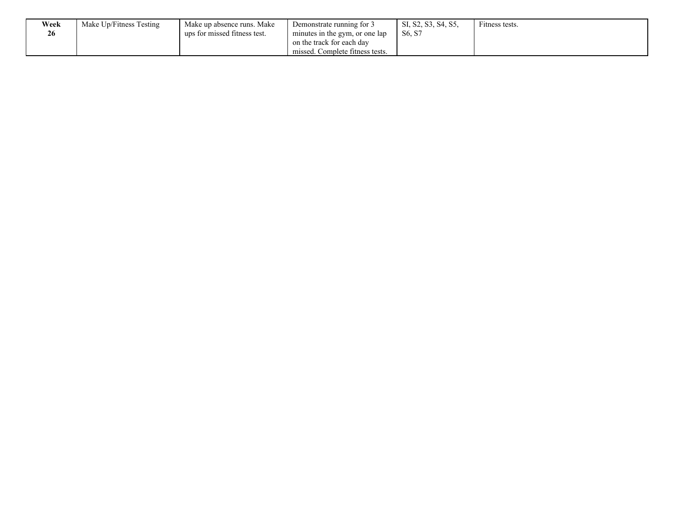| Week | Make Up/Fitness Testing | Make up absence runs. Make   | Demonstrate running for 3       | SI, S2, S3, S4, S5, | Fitness tests. |
|------|-------------------------|------------------------------|---------------------------------|---------------------|----------------|
| 26   |                         | ups for missed fitness test. | minutes in the gym, or one lap  | S6, S7              |                |
|      |                         |                              | on the track for each day       |                     |                |
|      |                         |                              | missed. Complete fitness tests. |                     |                |